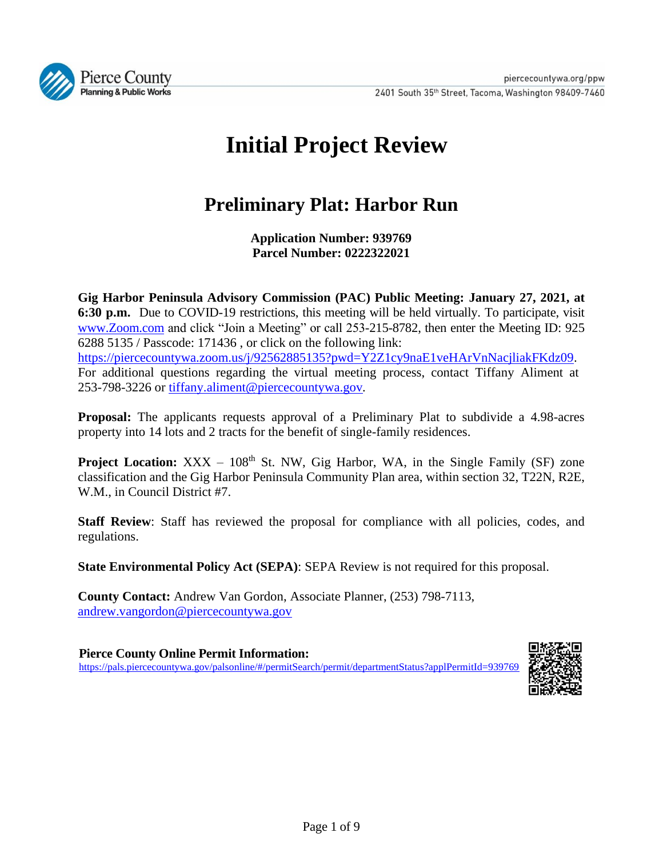

# **Initial Project Review**

# **Preliminary Plat: Harbor Run**

**Application Number: 939769 Parcel Number: 0222322021**

**Gig Harbor Peninsula Advisory Commission (PAC) Public Meeting: January 27, 2021, at 6:30 p.m.** Due to COVID-19 restrictions, this meeting will be held virtually. To participate, visit [www.Zoom.com](http://www.zoom.com/) and click "Join a Meeting" or call 253-215-8782, then enter the Meeting ID: 925 6288 5135 / Passcode: 171436 , or click on the following link: [https://piercecountywa.zoom.us/j/92562885135?pwd=Y2Z1cy9naE1veHArVnNacjliakFKdz09.](https://piercecountywa.zoom.us/j/92562885135?pwd=Y2Z1cy9naE1veHArVnNacjliakFKdz09) For additional questions regarding the virtual meeting process, contact Tiffany Aliment at 253-798-3226 or [tiffany.aliment@piercecountywa.gov](mailto:tiffany.aliment@piercecountywa.gov)*.*

**Proposal:** The applicants requests approval of a Preliminary Plat to subdivide a 4.98-acres property into 14 lots and 2 tracts for the benefit of single-family residences.

**Project Location:** XXX – 108<sup>th</sup> St. NW, Gig Harbor, WA, in the Single Family (SF) zone classification and the Gig Harbor Peninsula Community Plan area, within section 32, T22N, R2E, W.M., in Council District #7.

**Staff Review**: Staff has reviewed the proposal for compliance with all policies, codes, and regulations.

**State Environmental Policy Act (SEPA)**: SEPA Review is not required for this proposal.

**County Contact:** Andrew Van Gordon, Associate Planner, (253) 798-7113, andrew.vangordon@piercecountywa.gov

**Pierce County Online Permit Information:** <https://pals.piercecountywa.gov/palsonline/#/permitSearch/permit/departmentStatus?applPermitId=939769>

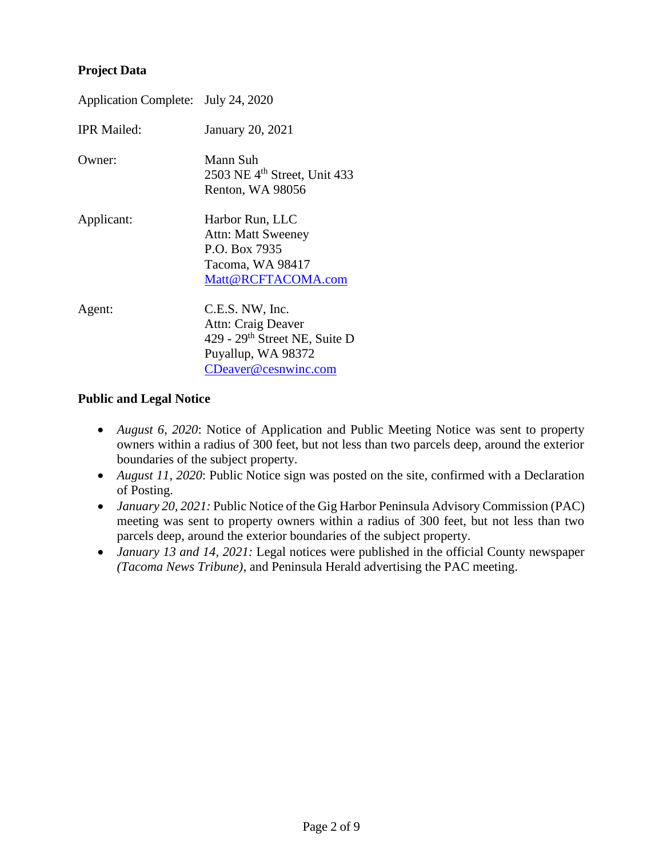#### **Project Data**

| Application Complete: July 24, 2020 |                                                                                                                                  |  |
|-------------------------------------|----------------------------------------------------------------------------------------------------------------------------------|--|
| <b>IPR Mailed:</b>                  | January 20, 2021                                                                                                                 |  |
| Owner:                              | Mann Suh<br>2503 NE $4th$ Street, Unit 433<br>Renton, WA 98056                                                                   |  |
| Applicant:                          | Harbor Run, LLC<br><b>Attn: Matt Sweeney</b><br>P.O. Box 7935<br>Tacoma, WA 98417<br>Matt@RCFTACOMA.com                          |  |
| Agent:                              | C.E.S. NW, Inc.<br>Attn: Craig Deaver<br>429 - 29 <sup>th</sup> Street NE, Suite D<br>Puyallup, WA 98372<br>CDeaver@cesnwinc.com |  |

#### **Public and Legal Notice**

- *August 6, 2020*: Notice of Application and Public Meeting Notice was sent to property owners within a radius of 300 feet, but not less than two parcels deep, around the exterior boundaries of the subject property.
- *August 11, 2020*: Public Notice sign was posted on the site, confirmed with a Declaration of Posting.
- *January* 20, 2021: Public Notice of the Gig Harbor Peninsula Advisory Commission (PAC) meeting was sent to property owners within a radius of 300 feet, but not less than two parcels deep, around the exterior boundaries of the subject property.
- *January 13 and 14, 2021:* Legal notices were published in the official County newspaper *(Tacoma News Tribune)*, and Peninsula Herald advertising the PAC meeting.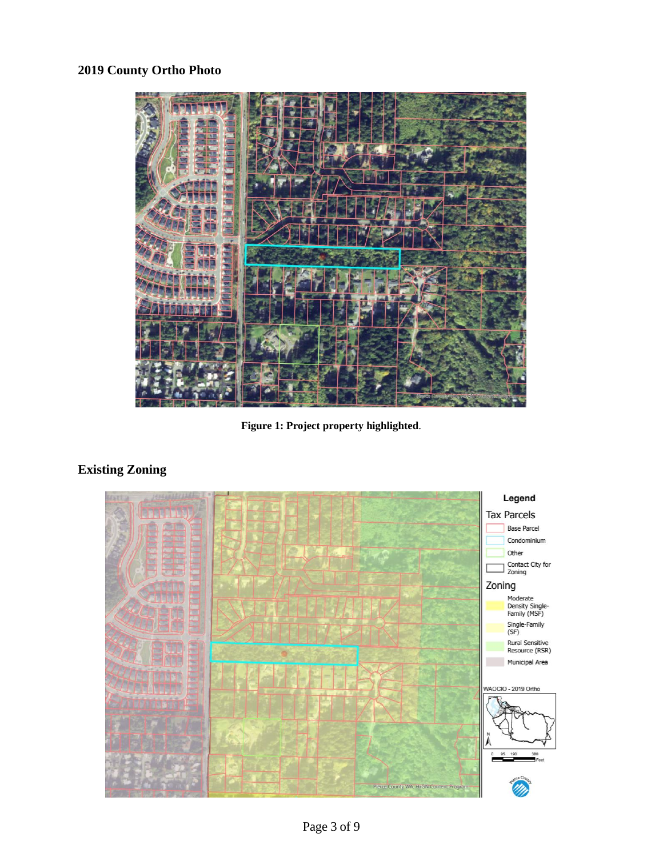# **2019 County Ortho Photo**



**Figure 1: Project property highlighted**.

# **Existing Zoning**

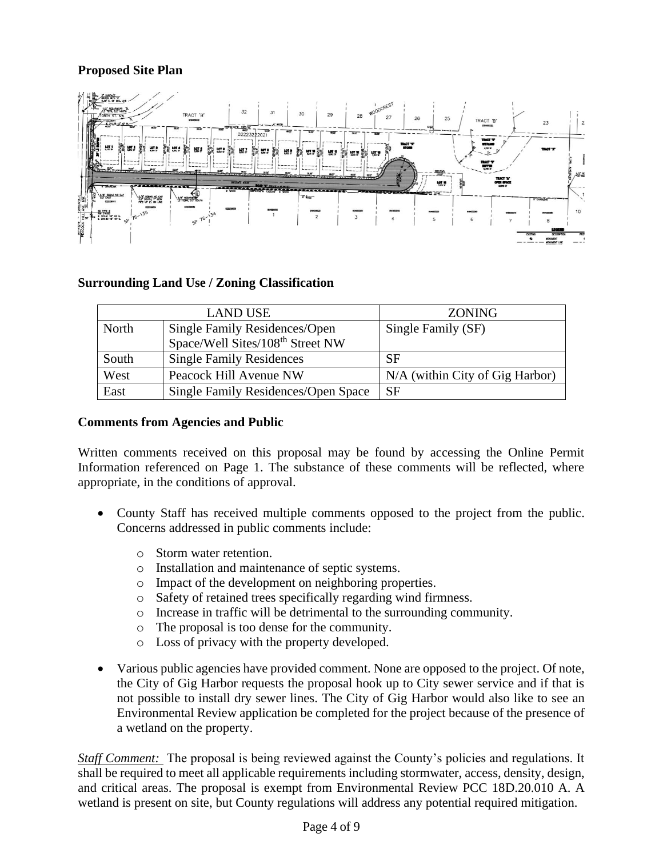# **Proposed Site Plan**



#### **Surrounding Land Use / Zoning Classification**

|       | <b>LAND USE</b>                              | <b>ZONING</b>                   |
|-------|----------------------------------------------|---------------------------------|
| North | Single Family Residences/Open                | Single Family (SF)              |
|       | Space/Well Sites/108 <sup>th</sup> Street NW |                                 |
| South | <b>Single Family Residences</b>              | <b>SF</b>                       |
| West  | Peacock Hill Avenue NW                       | N/A (within City of Gig Harbor) |
| East  | Single Family Residences/Open Space          | <b>SF</b>                       |

#### **Comments from Agencies and Public**

Written comments received on this proposal may be found by accessing the Online Permit Information referenced on Page 1. The substance of these comments will be reflected, where appropriate, in the conditions of approval.

- County Staff has received multiple comments opposed to the project from the public. Concerns addressed in public comments include:
	- o Storm water retention.
	- o Installation and maintenance of septic systems.
	- o Impact of the development on neighboring properties.
	- o Safety of retained trees specifically regarding wind firmness.
	- o Increase in traffic will be detrimental to the surrounding community.
	- o The proposal is too dense for the community.
	- o Loss of privacy with the property developed.
- Various public agencies have provided comment. None are opposed to the project. Of note, the City of Gig Harbor requests the proposal hook up to City sewer service and if that is not possible to install dry sewer lines. The City of Gig Harbor would also like to see an Environmental Review application be completed for the project because of the presence of a wetland on the property.

*Staff Comment:* The proposal is being reviewed against the County's policies and regulations. It shall be required to meet all applicable requirements including stormwater, access, density, design, and critical areas. The proposal is exempt from Environmental Review PCC 18D.20.010 A. A wetland is present on site, but County regulations will address any potential required mitigation.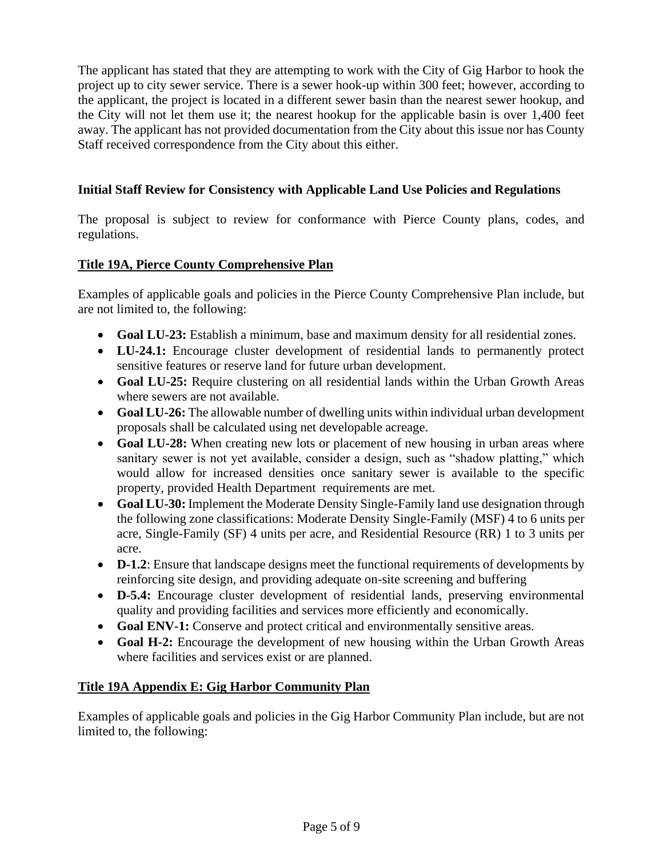The applicant has stated that they are attempting to work with the City of Gig Harbor to hook the project up to city sewer service. There is a sewer hook-up within 300 feet; however, according to the applicant, the project is located in a different sewer basin than the nearest sewer hookup, and the City will not let them use it; the nearest hookup for the applicable basin is over 1,400 feet away. The applicant has not provided documentation from the City about this issue nor has County Staff received correspondence from the City about this either.

#### **Initial Staff Review for Consistency with Applicable Land Use Policies and Regulations**

The proposal is subject to review for conformance with Pierce County plans, codes, and regulations.

### **Title 19A, Pierce County Comprehensive Plan**

Examples of applicable goals and policies in the Pierce County Comprehensive Plan include, but are not limited to, the following:

- **Goal LU-23:** Establish a minimum, base and maximum density for all residential zones.
- **LU-24.1:** Encourage cluster development of residential lands to permanently protect sensitive features or reserve land for future urban development.
- **Goal LU-25:** Require clustering on all residential lands within the Urban Growth Areas where sewers are not available.
- **Goal LU-26:** The allowable number of dwelling units within individual urban development proposals shall be calculated using net developable acreage.
- **Goal LU-28:** When creating new lots or placement of new housing in urban areas where sanitary sewer is not yet available, consider a design, such as "shadow platting," which would allow for increased densities once sanitary sewer is available to the specific property, provided Health Department requirements are met.
- **Goal LU-30:** Implement the Moderate Density Single-Family land use designation through the following zone classifications: Moderate Density Single-Family (MSF) 4 to 6 units per acre, Single-Family (SF) 4 units per acre, and Residential Resource (RR) 1 to 3 units per acre.
- **D-1.2**: Ensure that landscape designs meet the functional requirements of developments by reinforcing site design, and providing adequate on-site screening and buffering
- **D-5.4:** Encourage cluster development of residential lands, preserving environmental quality and providing facilities and services more efficiently and economically.
- **Goal ENV-1:** Conserve and protect critical and environmentally sensitive areas.
- **Goal H-2:** Encourage the development of new housing within the Urban Growth Areas where facilities and services exist or are planned.

#### **Title 19A Appendix E: Gig Harbor Community Plan**

Examples of applicable goals and policies in the Gig Harbor Community Plan include, but are not limited to, the following: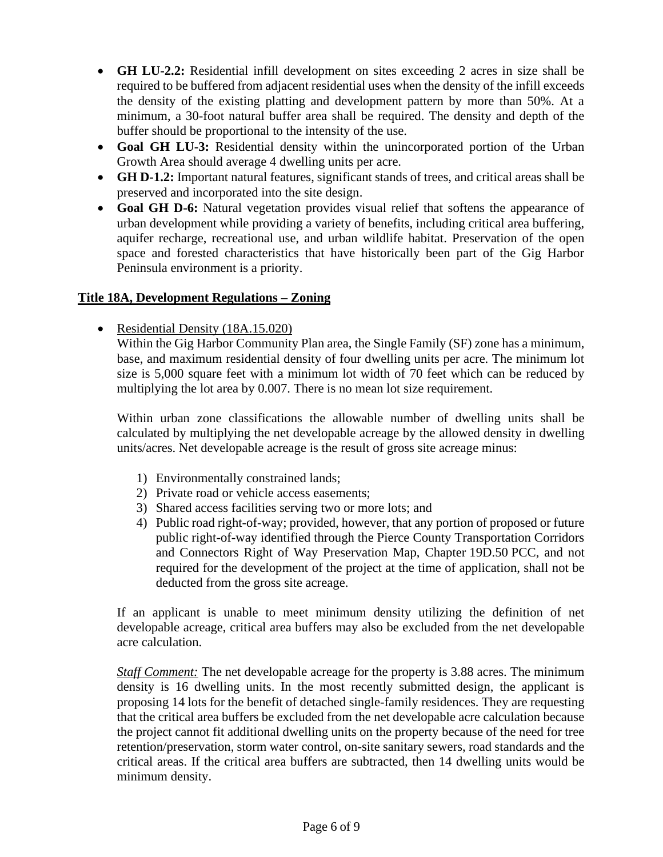- **GH LU-2.2:** Residential infill development on sites exceeding 2 acres in size shall be required to be buffered from adjacent residential uses when the density of the infill exceeds the density of the existing platting and development pattern by more than 50%. At a minimum, a 30-foot natural buffer area shall be required. The density and depth of the buffer should be proportional to the intensity of the use.
- **Goal GH LU-3:** Residential density within the unincorporated portion of the Urban Growth Area should average 4 dwelling units per acre.
- **GH D-1.2:** Important natural features, significant stands of trees, and critical areas shall be preserved and incorporated into the site design.
- **Goal GH D-6:** Natural vegetation provides visual relief that softens the appearance of urban development while providing a variety of benefits, including critical area buffering, aquifer recharge, recreational use, and urban wildlife habitat. Preservation of the open space and forested characteristics that have historically been part of the Gig Harbor Peninsula environment is a priority.

#### **Title 18A, Development Regulations – Zoning**

• Residential Density (18A.15.020)

Within the Gig Harbor Community Plan area, the Single Family (SF) zone has a minimum, base, and maximum residential density of four dwelling units per acre. The minimum lot size is 5,000 square feet with a minimum lot width of 70 feet which can be reduced by multiplying the lot area by 0.007. There is no mean lot size requirement.

Within urban zone classifications the allowable number of dwelling units shall be calculated by multiplying the net developable acreage by the allowed density in dwelling units/acres. Net developable acreage is the result of gross site acreage minus:

- 1) Environmentally constrained lands;
- 2) Private road or vehicle access easements;
- 3) Shared access facilities serving two or more lots; and
- 4) Public road right-of-way; provided, however, that any portion of proposed or future public right-of-way identified through the Pierce County Transportation Corridors and Connectors Right of Way Preservation Map, Chapter 19D.50 PCC, and not required for the development of the project at the time of application, shall not be deducted from the gross site acreage.

If an applicant is unable to meet minimum density utilizing the definition of net developable acreage, critical area buffers may also be excluded from the net developable acre calculation.

*Staff Comment:* The net developable acreage for the property is 3.88 acres. The minimum density is 16 dwelling units. In the most recently submitted design, the applicant is proposing 14 lots for the benefit of detached single-family residences. They are requesting that the critical area buffers be excluded from the net developable acre calculation because the project cannot fit additional dwelling units on the property because of the need for tree retention/preservation, storm water control, on-site sanitary sewers, road standards and the critical areas. If the critical area buffers are subtracted, then 14 dwelling units would be minimum density.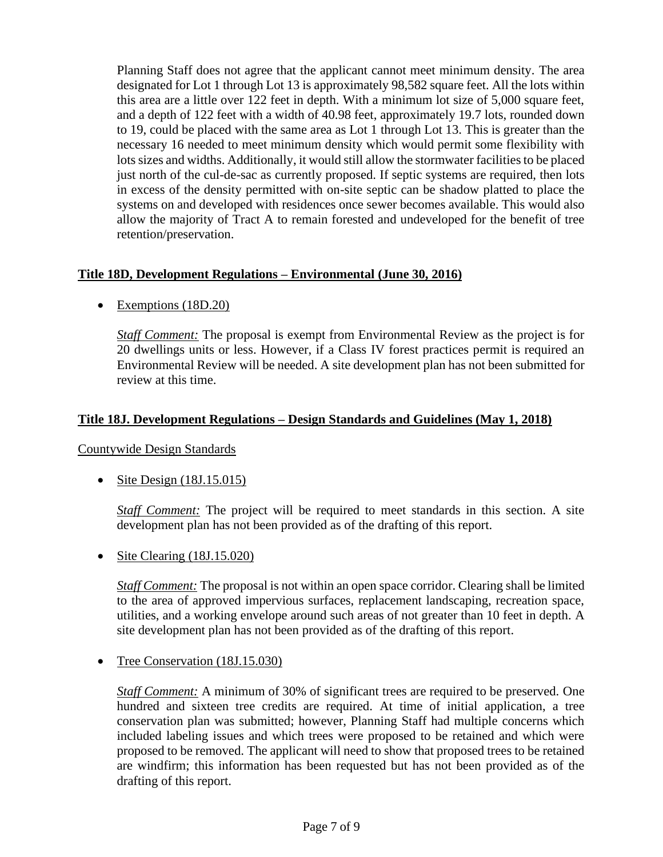Planning Staff does not agree that the applicant cannot meet minimum density. The area designated for Lot 1 through Lot 13 is approximately 98,582 square feet. All the lots within this area are a little over 122 feet in depth. With a minimum lot size of 5,000 square feet, and a depth of 122 feet with a width of 40.98 feet, approximately 19.7 lots, rounded down to 19, could be placed with the same area as Lot 1 through Lot 13. This is greater than the necessary 16 needed to meet minimum density which would permit some flexibility with lots sizes and widths. Additionally, it would still allow the stormwater facilities to be placed just north of the cul-de-sac as currently proposed. If septic systems are required, then lots in excess of the density permitted with on-site septic can be shadow platted to place the systems on and developed with residences once sewer becomes available. This would also allow the majority of Tract A to remain forested and undeveloped for the benefit of tree retention/preservation.

#### **Title 18D, Development Regulations – Environmental (June 30, 2016)**

• Exemptions (18D.20)

*Staff Comment:* The proposal is exempt from Environmental Review as the project is for 20 dwellings units or less. However, if a Class IV forest practices permit is required an Environmental Review will be needed. A site development plan has not been submitted for review at this time.

#### **Title 18J. Development Regulations – Design Standards and Guidelines (May 1, 2018)**

Countywide Design Standards

• Site Design  $(18J.15.015)$ 

*Staff Comment:* The project will be required to meet standards in this section. A site development plan has not been provided as of the drafting of this report.

• Site Clearing (18J.15.020)

*Staff Comment:* The proposal is not within an open space corridor. Clearing shall be limited to the area of approved impervious surfaces, replacement landscaping, recreation space, utilities, and a working envelope around such areas of not greater than 10 feet in depth. A site development plan has not been provided as of the drafting of this report.

• Tree Conservation (18J.15.030)

*Staff Comment:* A minimum of 30% of significant trees are required to be preserved. One hundred and sixteen tree credits are required. At time of initial application, a tree conservation plan was submitted; however, Planning Staff had multiple concerns which included labeling issues and which trees were proposed to be retained and which were proposed to be removed. The applicant will need to show that proposed trees to be retained are windfirm; this information has been requested but has not been provided as of the drafting of this report.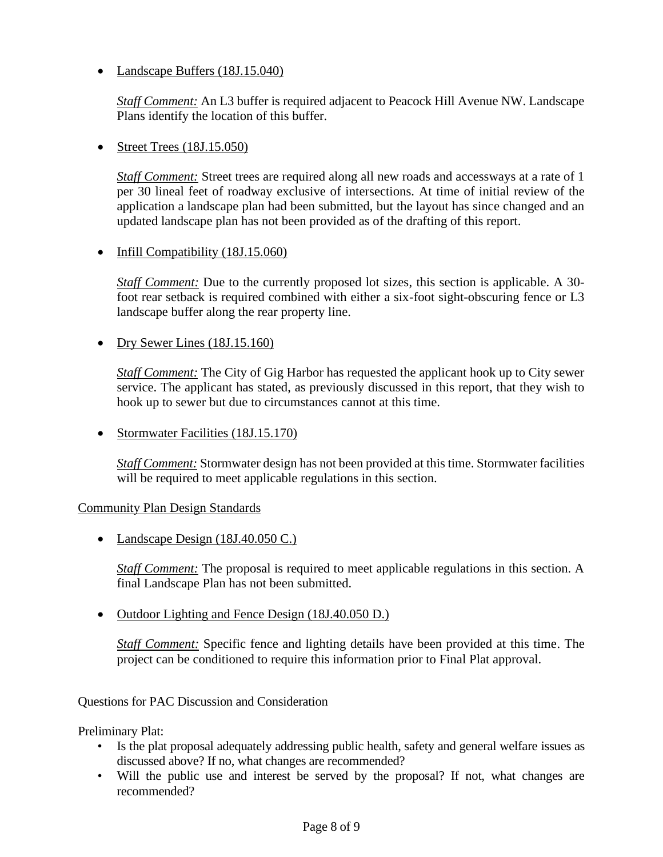• Landscape Buffers (18J.15.040)

*Staff Comment:* An L3 buffer is required adjacent to Peacock Hill Avenue NW. Landscape Plans identify the location of this buffer.

• Street Trees (18J.15.050)

*Staff Comment:* Street trees are required along all new roads and accessways at a rate of 1 per 30 lineal feet of roadway exclusive of intersections. At time of initial review of the application a landscape plan had been submitted, but the layout has since changed and an updated landscape plan has not been provided as of the drafting of this report.

• Infill Compatibility (18J.15.060)

*Staff Comment:* Due to the currently proposed lot sizes, this section is applicable. A 30 foot rear setback is required combined with either a six-foot sight-obscuring fence or L3 landscape buffer along the rear property line.

• Dry Sewer Lines (18J.15.160)

*Staff Comment:* The City of Gig Harbor has requested the applicant hook up to City sewer service. The applicant has stated, as previously discussed in this report, that they wish to hook up to sewer but due to circumstances cannot at this time.

• Stormwater Facilities (18J.15.170)

*Staff Comment:* Stormwater design has not been provided at this time. Stormwater facilities will be required to meet applicable regulations in this section.

#### Community Plan Design Standards

• Landscape Design (18J.40.050 C.)

*Staff Comment:* The proposal is required to meet applicable regulations in this section. A final Landscape Plan has not been submitted.

• Outdoor Lighting and Fence Design (18J.40.050 D.)

*Staff Comment:* Specific fence and lighting details have been provided at this time. The project can be conditioned to require this information prior to Final Plat approval.

Questions for PAC Discussion and Consideration

Preliminary Plat:

- Is the plat proposal adequately addressing public health, safety and general welfare issues as discussed above? If no, what changes are recommended?
- Will the public use and interest be served by the proposal? If not, what changes are recommended?